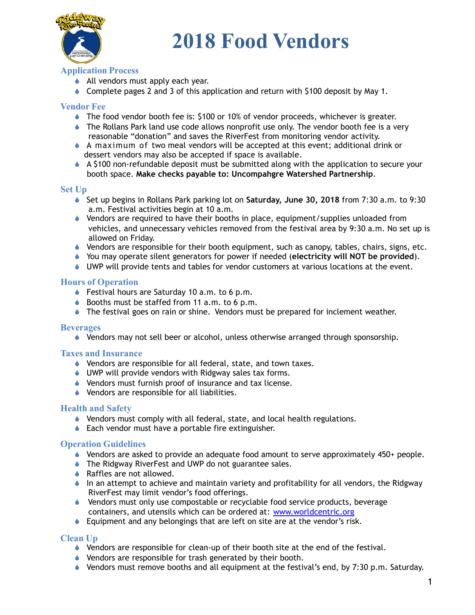

## **2018 Food Vendors**

### **Application Process**

- ◆ All vendors must apply each year.
- $\bullet$  Complete pages 2 and 3 of this application and return with \$100 deposit by May 1.

#### **Vendor Fee**

- ! The food vendor booth fee is: \$100 or 10% of vendor proceeds, whichever is greater.
- ♦ The Rollans Park land use code allows nonprofit use only. The vendor booth fee is a very reasonable "donation" and saves the RiverFest from monitoring vendor activity.
- $\bullet$  A maximum of two meal vendors will be accepted at this event; additional drink or dessert vendors may also be accepted if space is available.
- $\triangle$  A \$100 non-refundable deposit must be submitted along with the application to secure your booth space. **Make checks payable to: Uncompahgre Watershed Partnership**.

#### **Set Up**

- ! Set up begins in Rollans Park parking lot on **Saturday, June 30, 2018** from 7:30 a.m. to 9:30 a.m. Festival activities begin at 10 a.m.
- $\bullet$  Vendors are required to have their booths in place, equipment/supplies unloaded from vehicles, and unnecessary vehicles removed from the festival area by 9:30 a.m. No set up is allowed on Friday.
- ! Vendors are responsible for their booth equipment, such as canopy, tables, chairs, signs, etc.
- ! You may operate silent generators for power if needed (**electricity will NOT be provided**).
- $\bullet$  UWP will provide tents and tables for vendor customers at various locations at the event.

#### **Hours of Operation**

- ◆ Festival hours are Saturday 10 a.m. to 6 p.m.
- $\bullet$  Booths must be staffed from 11 a.m. to 6 p.m.
- ♦ The festival goes on rain or shine. Vendors must be prepared for inclement weather.

#### **Beverages**

• Vendors may not sell beer or alcohol, unless otherwise arranged through sponsorship.

#### **Taxes and Insurance**

- ♦ Vendors are responsible for all federal, state, and town taxes.
- ♦ UWP will provide vendors with Ridgway sales tax forms.
- ! Vendors must furnish proof of insurance and tax license.
- ! Vendors are responsible for all liabilities.

#### **Health and Safety**

- ! Vendors must comply with all federal, state, and local health regulations.
- $\triangle$  Each vendor must have a portable fire extinguisher.

#### **Operation Guidelines**

- $\bullet$  Vendors are asked to provide an adequate food amount to serve approximately 450+ people.
- ♦ The Ridgway RiverFest and UWP do not guarantee sales.
- $\triangle$  Raffles are not allowed.
- In an attempt to achieve and maintain variety and profitability for all vendors, the Ridgway RiverFest may limit vendor's food offerings.
- ! Vendors must only use compostable or recyclable food service products, beverage containers, and utensils which can be ordered at: [www.worldcentric.org](http://www.worldcentric.org/)
- ! Equipment and any belongings that are left on site are at the vendor's risk.

#### **Clean Up**

- $\bullet$  Vendors are responsible for clean-up of their booth site at the end of the festival.
- ! Vendors are responsible for trash generated by their booth.
- $\bullet$  Vendors must remove booths and all equipment at the festival's end, by 7:30 p.m. Saturday.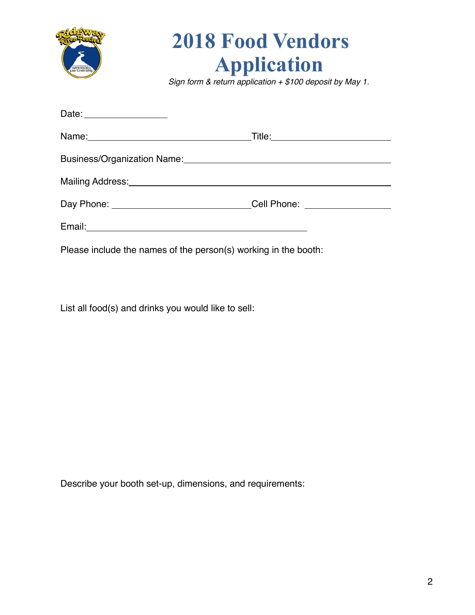

## **2018 Food Vendors Application**

*Sign form & return application + \$100 deposit by May 1.*

| Date: <u>Date:</u>                                                                                                                                                                                                            |  |
|-------------------------------------------------------------------------------------------------------------------------------------------------------------------------------------------------------------------------------|--|
|                                                                                                                                                                                                                               |  |
|                                                                                                                                                                                                                               |  |
| Mailing Address: Management of the Community of the Community of the Community of the Community of the Community of the Community of the Community of the Community of the Community of the Community of the Community of the |  |
| Day Phone: ______________________________Cell Phone: ___________________________                                                                                                                                              |  |
|                                                                                                                                                                                                                               |  |
| Please include the names of the person(s) working in the booth:                                                                                                                                                               |  |

List all food(s) and drinks you would like to sell:

Describe your booth set-up, dimensions, and requirements: